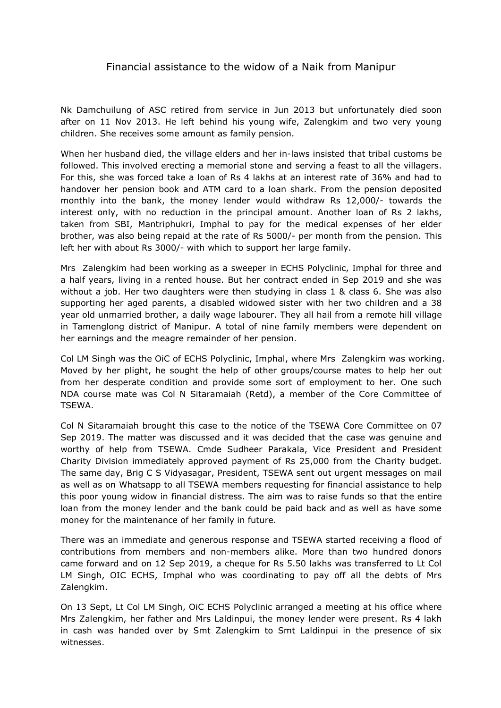## Financial assistance to the widow of a Naik from Manipur

Nk Damchuilung of ASC retired from service in Jun 2013 but unfortunately died soon after on 11 Nov 2013. He left behind hisyoung wife, Zalengkim and two very young children. She receives some amount as family pension.

When her husband died, the village elders and her in-laws insisted that tribal customs be followed. This involved erecting a memorial stone and serving a feast to all the villagers. For this, she was forced take a loan of Rs 4 lakhs at an interest rate of 36% and had to handover her pension book and ATM card to a loan shark. From the pension deposited monthly into the bank, the money lender would withdraw Rs 12,000/- towards the interest only, with no reduction in the principal amount. Another loan of Rs 2 lakhs, taken from SBI, Mantriphukri, Imphal to pay for the medical expenses of her elder brother, was also being repaid at the rate of Rs 5000/- per month from the pension. This left her with about Rs 3000/- with which to support her large family.

Mrs Zalengkim had been working as a sweeper in ECHS Polyclinic, Imphal for three and a half years, living in a rented house. But her contract ended in Sep 2019 and she was without a job. Her two daughters were then studying in class 1 & class 6. She was also supporting her aged parents, a disabled widowed sister with her two children and a 38 year old unmarried brother, a daily wage labourer. They all hail from a remote hill village in Tamenglong district of Manipur. A total of nine family members were dependent on her earnings and the meagre remainder of her pension.

Col LM Singh was the OiC of ECHS Polyclinic, Imphal, where Mrs Zalengkim was working. Moved by her plight, he sought the help of other groups/course mates to help her out from her desperate condition and provide some sort of employment to her. One such NDA course mate was Col N Sitaramaiah (Retd), a member of the Core Committee of TSEWA.

Col N Sitaramaiah brought this case to the notice of the TSEWA Core Committee on 07 Sep 2019. The matter was discussed and it was decided that the case was genuine and worthy of help from TSEWA. Cmde Sudheer Parakala, Vice President and President Charity Division immediately approved payment of Rs 25,000 from the Charity budget.<br>The same day, Brig C S Vidyasagar, President, TSEWA sent out urgent messages on mail as well as on Whatsapp to all TSEWA members requesting for financial assistance to help this poor young widow in financial distress. The aim was to raise funds so that the entire loan from the money lender and the bank could be paid back and as well as have some money for the maintenance of her family in future.

There was an immediate and generous response and TSEWA started receiving a flood of contributions from members and non-members alike. More than two hundred donors came forward and on 12 Sep 2019, a cheque for Rs 5.50 lakhs was transferred to Lt Col LM Singh, OIC ECHS, Imphal who was coordinating to pay off all the debts of Mrs Zalengkim.

On 13 Sept, Lt Col LM Singh, OiC ECHS Polyclinic arranged a meeting at his office where Mrs Zalengkim, her father and Mrs Laldinpui, the money lender were present. Rs 4 lakh in cash was handed over by Smt Zalengkim to Smt Laldinpui in the presence of six witnesses.